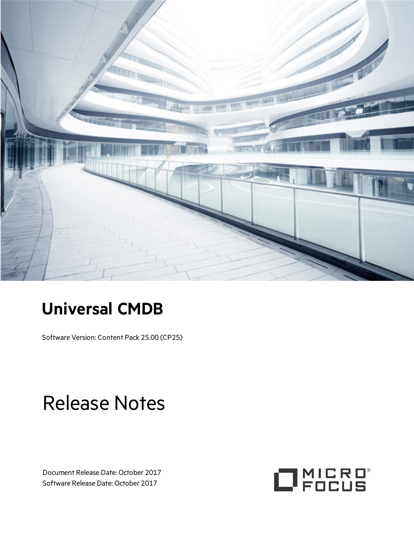

# **Universal CMDB**

Software Version: Content Pack 25.00 (CP25)

# Release Notes

Document Release Date: October 2017 Software Release Date: October 2017

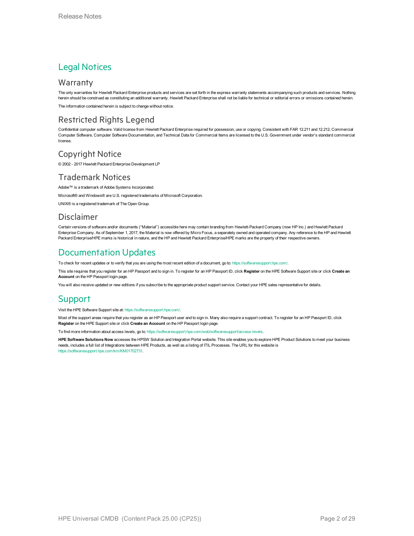### Legal Notices

#### **Warranty**

The only warranties for Hewlett Packard Enterprise products and services are set forth in the express warranty statements accompanying such products and services. Nothing herein should be construed as constituting an additional warranty. Hewlett Packard Enterprise shall not be liable for technical or editorial errors or omissions contained herein.

The information contained herein is subject to change without notice.

### Restricted Rights Legend

Confidential computer software. Valid license from Hewlett Packard Enterprise required for possession, use or copying. Consistent with FAR 12.211 and 12.212, Commercial Computer Software, Computer Software Documentation, and Technical Data for Commercial Items are licensed to the U.S. Government under vendor's standard commercial license.

### Copyright Notice

© 2002 - 2017 Hewlett Packard Enterprise Development LP

#### Trademark Notices

Adobe™ is a trademark of Adobe Systems Incorporated.

Microsoft® and Windows® are U.S. registered trademarks of Microsoft Corporation.

UNIX® is a registered trademark of The Open Group.

#### Disclaimer

Certain versions of software and/or documents ("Material") accessible here may contain branding from Hewlett-Packard Company (now HP Inc.) and Hewlett Packard Enterprise Company. As of September 1, 2017, the Material is now offered by Micro Focus, a separately owned and operated company. Any reference to the HP and Hewlett Packard Enterprise/HPE marks is historical in nature, and the HP and Hewlett Packard Enterprise/HPE marks are the property of their respective owners.

### Documentation Updates

To check for recent updates or to verify that you are using the most recent edition of a document, go to: <https://softwaresupport.hpe.com/>.

This site requires that you register for an HP Passport and to sign in. To register for an HP Passport ID, click **Register** on the HPE Software Support site or click **Create an Account** on the HP Passport login page.

You will also receive updated or new editions if you subscribe to the appropriate product support service. Contact your HPE sales representative for details.

#### Support

Visit the HPE Software Support site at: <https://softwaresupport.hpe.com/>.

Most of the support areas require that you register as an HP Passport user and to sign in. Many also require a support contract. To register for an HP Passport ID, click **Register** on the HPE Support site or click **Create an Account** on the HP Passport login page.

To find more information about access levels, go to: <https://softwaresupport.hpe.com/web/softwaresupport/access-levels>.

**HPE Software Solutions Now** accesses the HPSW Solution and Integration Portal website. This site enables you to explore HPE Product Solutions to meet your business needs, includes a full list of Integrations between HPE Products, as well as a listing of ITIL Processes. The URL for this website is [https://softwaresupport.hpe.com/km/KM01702731.](https://softwaresupport.hpe.com/km/KM01702731)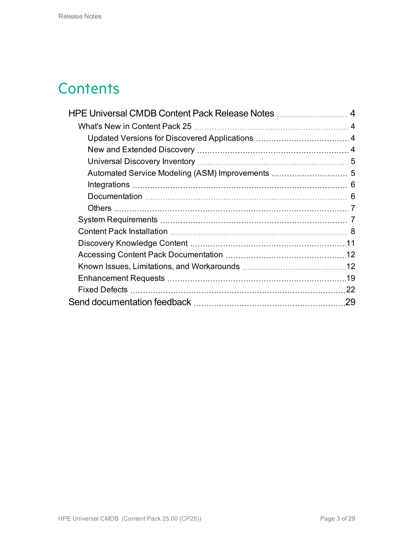# **Contents**

| HPE Universal CMDB Content Pack Release Notes  4 |    |
|--------------------------------------------------|----|
|                                                  |    |
|                                                  |    |
|                                                  |    |
|                                                  |    |
|                                                  |    |
|                                                  |    |
|                                                  |    |
|                                                  |    |
|                                                  |    |
|                                                  |    |
|                                                  |    |
|                                                  |    |
|                                                  |    |
|                                                  |    |
|                                                  |    |
|                                                  | 29 |
|                                                  |    |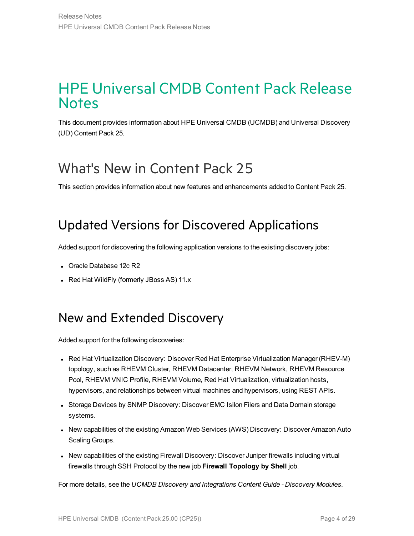### <span id="page-3-0"></span>HPE Universal CMDB Content Pack Release **Notes**

This document provides information about HPE Universal CMDB (UCMDB) and Universal Discovery (UD) Content Pack 25.

# <span id="page-3-1"></span>What's New in Content Pack 25

<span id="page-3-2"></span>This section provides information about new features and enhancements added to Content Pack 25.

### Updated Versions for Discovered Applications

Added support for discovering the following application versions to the existing discovery jobs:

- Oracle Database 12c R2
- <span id="page-3-3"></span>• Red Hat WildFly (formerly JBoss AS) 11.x

### New and Extended Discovery

Added support for the following discoveries:

- Red Hat Virtualization Discovery: Discover Red Hat Enterprise Virtualization Manager (RHEV-M) topology, such as RHEVM Cluster, RHEVM Datacenter, RHEVM Network, RHEVM Resource Pool, RHEVM VNIC Profile, RHEVM Volume, Red Hat Virtualization, virtualization hosts, hypervisors, and relationships between virtual machines and hypervisors, using REST APIs.
- Storage Devices by SNMP Discovery: Discover EMC Isilon Filers and Data Domain storage systems.
- New capabilities of the existing Amazon Web Services (AWS) Discovery: Discover Amazon Auto Scaling Groups.
- New capabilities of the existing Firewall Discovery: Discover Juniper firewalls including virtual firewalls through SSH Protocol by the new job **Firewall Topology by Shell** job.

For more details, see the *UCMDB Discovery and Integrations Content Guide - Discovery Modules*.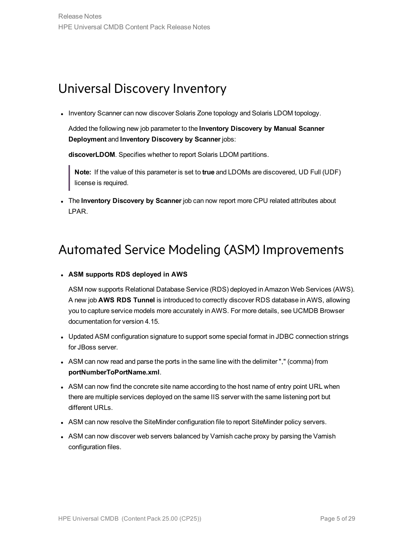### <span id="page-4-0"></span>Universal Discovery Inventory

• Inventory Scanner can now discover Solaris Zone topology and Solaris LDOM topology.

Added the following new job parameter to the **Inventory Discovery by Manual Scanner Deployment** and **Inventory Discovery by Scanner** jobs:

**discoverLDOM**. Specifies whether to report Solaris LDOM partitions.

**Note:** If the value of this parameter is set to **true** and LDOMs are discovered, UD Full (UDF) license is required.

<span id="page-4-1"></span><sup>l</sup> The **Inventory Discovery by Scanner** job can now report more CPU related attributes about LPAR.

### Automated Service Modeling (ASM) Improvements

#### <sup>l</sup> **ASM supports RDS deployed in AWS**

ASM now supports Relational Database Service (RDS) deployed in Amazon Web Services (AWS). A new job **AWS RDS Tunnel** is introduced to correctly discover RDS database in AWS, allowing you to capture service models more accurately in AWS. For more details, see UCMDB Browser documentation for version 4.15.

- Updated ASM configuration signature to support some special format in JDBC connection strings for JBoss server.
- ASM can now read and parse the ports in the same line with the delimiter "," (comma) from **portNumberToPortName.xml**.
- ASM can now find the concrete site name according to the host name of entry point URL when there are multiple services deployed on the same IIS server with the same listening port but different URLs.
- ASM can now resolve the SiteMinder configuration file to report SiteMinder policy servers.
- ASM can now discover web servers balanced by Varnish cache proxy by parsing the Varnish configuration files.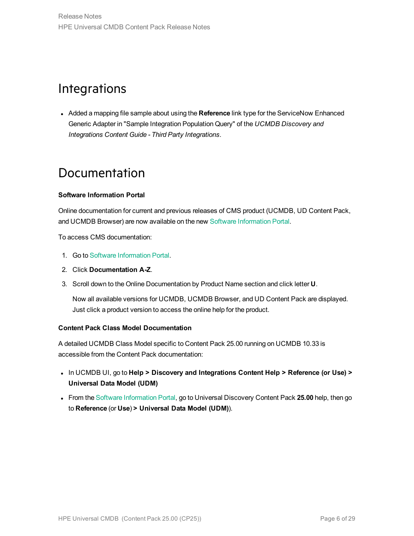### <span id="page-5-0"></span>**Integrations**

**Added a mapping file sample about using the Reference link type for the ServiceNow Enhanced** Generic Adapter in "Sample Integration Population Query" of the *UCMDB Discovery and Integrations Content Guide - Third Party Integrations*.

### <span id="page-5-1"></span>Documentation

#### **Software Information Portal**

Online documentation for current and previous releases of CMS product (UCMDB, UD Content Pack, and UCMDB Browser) are now available on the new Software [Information](https://docs.software.hpe.com/) Portal.

To access CMS documentation:

- 1. Go to Software [Information](https://docs.software.hpe.com/) Portal.
- 2. Click **Documentation A-Z**.
- 3. Scroll down to the Online Documentation by Product Name section and click letter **U**.

Now all available versions for UCMDB, UCMDB Browser, and UD Content Pack are displayed. Just click a product version to access the online help for the product.

#### **Content Pack Class Model Documentation**

A detailed UCMDB Class Model specific to Content Pack 25.00 running on UCMDB 10.33 is accessible from the Content Pack documentation:

- <sup>l</sup> In UCMDB UI, go to **Help > Discovery and Integrations Content Help > Reference (or Use) > Universal Data Model (UDM)**
- <sup>l</sup> From the Software [Information](https://docs.software.hpe.com/) Portal, go to Universal Discovery Content Pack **25.00** help, then go to **Reference** (or **Use**) **> Universal Data Model (UDM)**).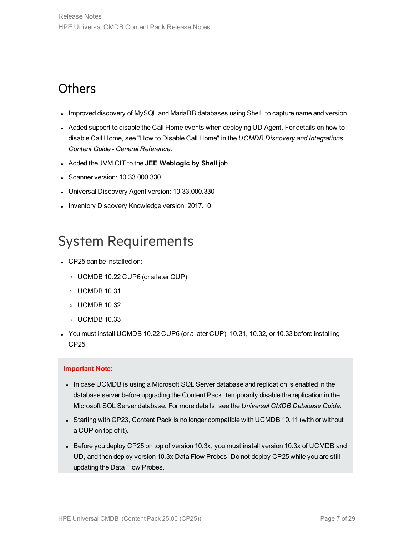### <span id="page-6-0"></span>**Others**

- <sup>l</sup> Improved discovery of MySQL and MariaDB databases using Shell ,to capture name and version.
- Added support to disable the Call Home events when deploying UD Agent. For details on how to disable Call Home, see "How to Disable Call Home" in the *UCMDB Discovery and Integrations Content Guide - General Reference*.
- <sup>l</sup> Added the JVM CIT to the **JEE Weblogic by Shell** job.
- Scanner version: 10.33.000.330
- Universal Discovery Agent version: 10.33.000.330
- Inventory Discovery Knowledge version: 2017.10

### <span id="page-6-1"></span>System Requirements

- CP25 can be installed on:
	- <sup>o</sup> UCMDB 10.22 CUP6 (or a later CUP)
	- <sup>o</sup> UCMDB 10.31
	- <sup>o</sup> UCMDB 10.32
	- <sup>o</sup> UCMDB 10.33
- You must install UCMDB 10.22 CUP6 (or a later CUP), 10.31, 10.32, or 10.33 before installing CP25.

#### **Important Note:**

- In case UCMDB is using a Microsoft SQL Server database and replication is enabled in the database server before upgrading the Content Pack, temporarily disable the replication in the Microsoft SQL Server database. For more details, see the *Universal CMDB Database Guide*.
- Starting with CP23, Content Pack is no longer compatible with UCMDB 10.11 (with or without a CUP on top of it).
- Before you deploy CP25 on top of version 10.3x, you must install version 10.3x of UCMDB and UD, and then deploy version 10.3x Data Flow Probes. Do not deploy CP25 while you are still updating the Data Flow Probes.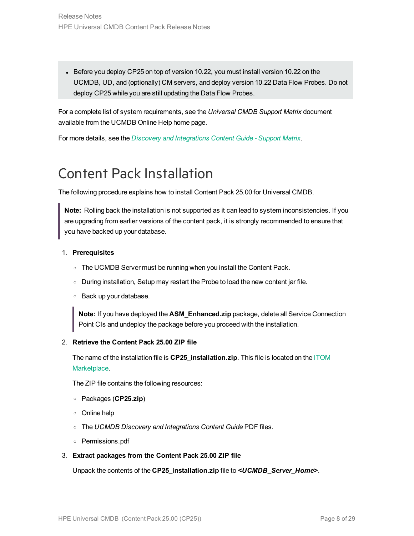• Before you deploy CP25 on top of version 10.22, you must install version 10.22 on the UCMDB, UD, and (optionally) CM servers, and deploy version 10.22 Data Flow Probes. Do not deploy CP25 while you are still updating the Data Flow Probes.

For a complete list of system requirements, see the *Universal CMDB Support Matrix* document available from the UCMDB Online Help home page.

For more details, see the *Discovery and [Integrations](https://softwaresupport.hpe.com/km/KM02211308) Content Guide - Support Matrix*.

### <span id="page-7-0"></span>Content Pack Installation

The following procedure explains how to install Content Pack 25.00 for Universal CMDB.

**Note:** Rolling back the installation is not supported as it can lead to system inconsistencies. If you are upgrading from earlier versions of the content pack, it is strongly recommended to ensure that you have backed up your database.

#### 1. **Prerequisites**

- o The UCMDB Server must be running when you install the Content Pack.
- <sup>o</sup> During installation, Setup may restart the Probe to load the new content jar file.
- <sup>o</sup> Back up your database.

**Note:** If you have deployed the **ASM\_Enhanced.zip** package, delete all Service Connection Point CIs and undeploy the package before you proceed with the installation.

#### 2. **Retrieve the Content Pack 25.00 ZIP file**

The name of the installation file is **CP25\_installation.zip**. This file is located on the [ITOM](https://marketplace.microfocus.com/itom/content/ud-content-packs) [Marketplace](https://marketplace.microfocus.com/itom/content/ud-content-packs).

The ZIP file contains the following resources:

- <sup>o</sup> Packages (**CP25.zip**)
- <sup>o</sup> Online help
- <sup>o</sup> The *UCMDB Discovery and Integrations Content Guide* PDF files.
- <sup>o</sup> Permissions.pdf

#### 3. **Extract packages from the Content Pack 25.00 ZIP file**

Unpack the contents of the **CP25\_installation.zip** file to *<UCMDB\_Server\_Home>*.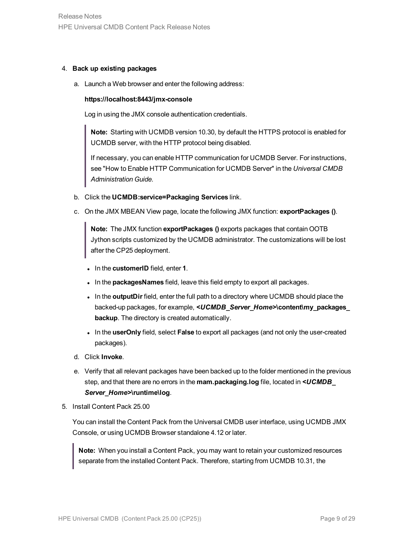#### 4. **Back up existing packages**

a. Launch a Web browser and enter the following address:

#### **https://localhost:8443/jmx-console**

Log in using the JMX console authentication credentials.

**Note:** Starting with UCMDB version 10.30, by default the HTTPS protocol is enabled for UCMDB server, with the HTTP protocol being disabled.

If necessary, you can enable HTTP communication for UCMDB Server. For instructions, see "How to Enable HTTP Communication for UCMDB Server" in the *Universal CMDB Administration Guide*.

- b. Click the **UCMDB:service=Packaging Services** link.
- c. On the JMX MBEAN View page, locate the following JMX function: **exportPackages ()**.

**Note:** The JMX function **exportPackages ()** exports packages that contain OOTB Jython scripts customized by the UCMDB administrator. The customizations will be lost after the CP25 deployment.

- $\bullet$  In the **customerID** field, enter **1**.
- . In the **packagesNames** field, leave this field empty to export all packages.
- In the **outputDir** field, enter the full path to a directory where UCMDB should place the backed-up packages, for example, *<UCMDB\_Server\_Home>***\content\my\_packages\_ backup**. The directory is created automatically.
- In the **userOnly** field, select **False** to export all packages (and not only the user-created packages).
- d. Click **Invoke**.
- e. Verify that all relevant packages have been backed up to the folder mentioned in the previous step, and that there are no errors in the **mam.packaging.log** file, located in *<UCMDB\_ Server\_Home>***\runtime\log**.
- 5. Install Content Pack 25.00

You can install the Content Pack from the Universal CMDB user interface, using UCMDB JMX Console, or using UCMDB Browser standalone 4.12 or later.

**Note:** When you install a Content Pack, you may want to retain your customized resources separate from the installed Content Pack. Therefore, starting from UCMDB 10.31, the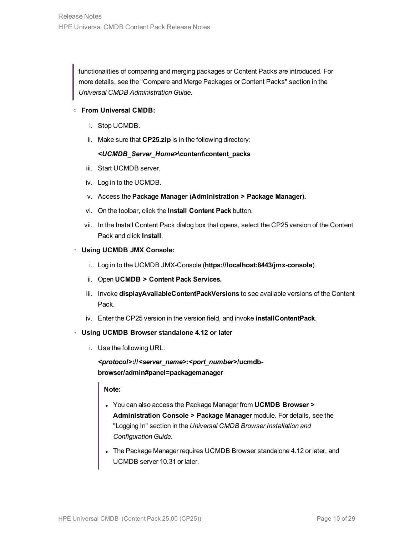functionalities of comparing and merging packages or Content Packs are introduced. For more details, see the "Compare and Merge Packages or Content Packs" section in the *Universal CMDB Administration Guide*.

#### <sup>o</sup> **From Universal CMDB:**

- i. Stop UCMDB.
- ii. Make sure that **CP25.zip** is in the following directory:

#### *<UCMDB\_Server\_Home>***\content\content\_packs**

- iii. Start UCMDB server.
- iv. Log in to the UCMDB.
- v. Access the **Package Manager (Administration > Package Manager).**
- vi. On the toolbar, click the **Install Content Pack** button.
- vii. In the Install Content Pack dialog box that opens, select the CP25 version of the Content Pack and click **Install**.

#### <sup>o</sup> **Using UCMDB JMX Console:**

- i. Log in to the UCMDB JMX-Console (**https://localhost:8443/jmx-console**).
- ii. Open **UCMDB > Content Pack Services.**
- iii. Invoke **displayAvailableContentPackVersions** to see available versions of the Content Pack.
- iv. Enter the CP25 version in the version field, and invoke **installContentPack**.

#### <sup>o</sup> **Using UCMDB Browser standalone 4.12 or later**

i. Use the following URL:

*<protocol>***://***<server\_name>***:***<port\_number>***/ucmdbbrowser/admin#panel=packagemanager**

#### **Note:**

- <sup>l</sup> You can also access the Package Manager from **UCMDB Browser > Administration Console > Package Manager** module. For details, see the "Logging In" section in the *Universal CMDB Browser Installation and Configuration Guide*.
- The Package Manager requires UCMDB Browser standalone 4.12 or later, and UCMDB server 10.31 or later.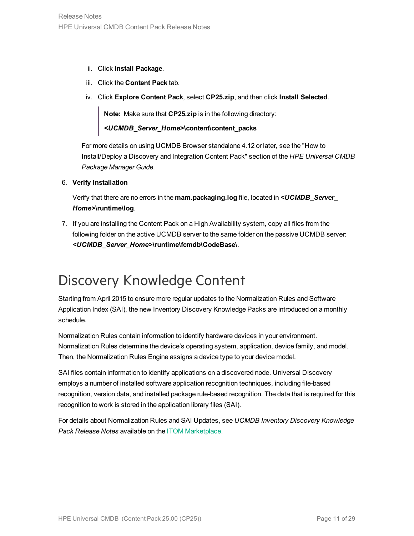- ii. Click **Install Package**.
- iii. Click the **Content Pack** tab.
- iv. Click **Explore Content Pack**, select **CP25.zip**, and then click **Install Selected**.

**Note:** Make sure that **CP25.zip** is in the following directory:

*<UCMDB\_Server\_Home>***\content\content\_packs**

For more details on using UCMDB Browser standalone 4.12 or later, see the "How to Install/Deploy a Discovery and Integration Content Pack" section of the *HPE Universal CMDB Package Manager Guide*.

6. **Verify installation**

Verify that there are no errors in the **mam.packaging.log** file, located in *<UCMDB\_Server\_ Home>***\runtime\log**.

7. If you are installing the Content Pack on a High Availability system, copy all files from the following folder on the active UCMDB server to the same folder on the passive UCMDB server: *<UCMDB\_Server\_Home>***\runtime\fcmdb\CodeBase\**.

# <span id="page-10-0"></span>Discovery Knowledge Content

Starting from April 2015 to ensure more regular updates to the Normalization Rules and Software Application Index (SAI), the new Inventory Discovery Knowledge Packs are introduced on a monthly schedule.

Normalization Rules contain information to identify hardware devices in your environment. Normalization Rules determine the device's operating system, application, device family, and model. Then, the Normalization Rules Engine assigns a device type to your device model.

SAI files contain information to identify applications on a discovered node. Universal Discovery employs a number of installed software application recognition techniques, including file-based recognition, version data, and installed package rule-based recognition. The data that is required for this recognition to work is stored in the application library files (SAI).

For details about Normalization Rules and SAI Updates, see *UCMDB Inventory Discovery Knowledge Pack Release Notes* available on the ITOM [Marketplace](https://marketplace.microfocus.com/itom/content/inventory-discovery-knowledge-pack).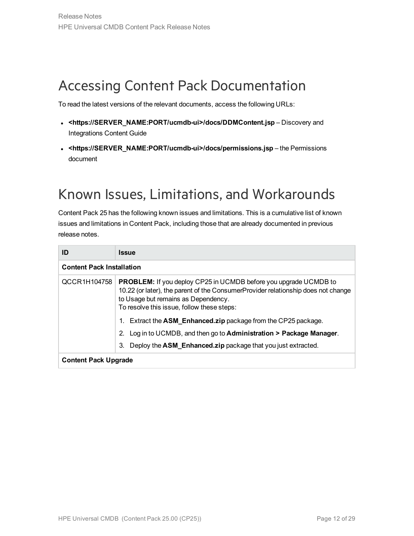# <span id="page-11-0"></span>Accessing Content Pack Documentation

To read the latest versions of the relevant documents, access the following URLs:

- <sup>l</sup> **<https://SERVER\_NAME:PORT/ucmdb-ui>/docs/DDMContent.jsp** Discovery and Integrations Content Guide
- <sup>l</sup> **<https://SERVER\_NAME:PORT/ucmdb-ui>/docs/permissions.jsp** the Permissions document

# <span id="page-11-1"></span>Known Issues, Limitations, and Workarounds

Content Pack 25 has the following known issues and limitations. This is a cumulative list of known issues and limitations in Content Pack, including those that are already documented in previous release notes.

| ID                               | <b>Issue</b>                                                                                                                                                                                                                                      |  |
|----------------------------------|---------------------------------------------------------------------------------------------------------------------------------------------------------------------------------------------------------------------------------------------------|--|
| <b>Content Pack Installation</b> |                                                                                                                                                                                                                                                   |  |
| QCCR1H104758                     | <b>PROBLEM:</b> If you deploy CP25 in UCMDB before you upgrade UCMDB to<br>10.22 (or later), the parent of the ConsumerProvider relationship does not change<br>to Usage but remains as Dependency.<br>To resolve this issue, follow these steps: |  |
|                                  | Extract the <b>ASM Enhanced.zip</b> package from the CP25 package.                                                                                                                                                                                |  |
|                                  | Log in to UCMDB, and then go to <b>Administration &gt; Package Manager</b> .<br>2.                                                                                                                                                                |  |
|                                  | Deploy the ASM_Enhanced.zip package that you just extracted.<br>3.                                                                                                                                                                                |  |
| <b>Content Pack Upgrade</b>      |                                                                                                                                                                                                                                                   |  |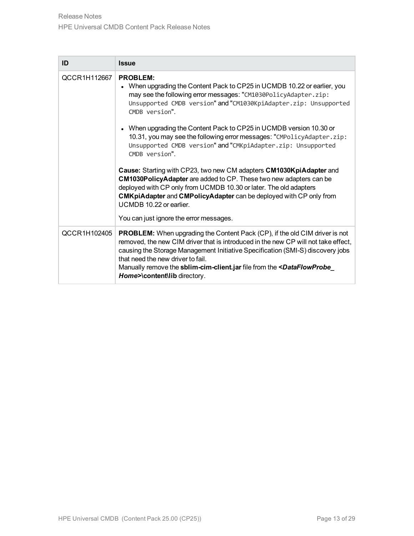| ID           | <b>Issue</b>                                                                                                                                                                                                                                                                                                                                                                                                                   |
|--------------|--------------------------------------------------------------------------------------------------------------------------------------------------------------------------------------------------------------------------------------------------------------------------------------------------------------------------------------------------------------------------------------------------------------------------------|
| QCCR1H112667 | <b>PROBLEM:</b><br>• When upgrading the Content Pack to CP25 in UCMDB 10.22 or earlier, you<br>may see the following error messages: "CM1030PolicyAdapter.zip:<br>Unsupported CMDB version" and "CM1030KpiAdapter.zip: Unsupported<br>CMDB version".                                                                                                                                                                           |
|              | • When upgrading the Content Pack to CP25 in UCMDB version 10.30 or<br>10.31, you may see the following error messages: "CMPolicyAdapter.zip:<br>Unsupported CMDB version" and "CMKpiAdapter.zip: Unsupported<br>CMDB version".                                                                                                                                                                                                |
|              | Cause: Starting with CP23, two new CM adapters CM1030KpiAdapter and<br>CM1030PolicyAdapter are added to CP. These two new adapters can be<br>deployed with CP only from UCMDB 10.30 or later. The old adapters<br><b>CMKpiAdapter and CMPolicyAdapter can be deployed with CP only from</b><br>UCMDB 10.22 or earlier.<br>You can just ignore the error messages.                                                              |
| QCCR1H102405 |                                                                                                                                                                                                                                                                                                                                                                                                                                |
|              | <b>PROBLEM:</b> When upgrading the Content Pack (CP), if the old CIM driver is not<br>removed, the new CIM driver that is introduced in the new CP will not take effect,<br>causing the Storage Management Initiative Specification (SMI-S) discovery jobs<br>that need the new driver to fail.<br>Manually remove the sblim-cim-client.jar file from the <dataflowprobe<br>Home&gt;\content\lib directory.</dataflowprobe<br> |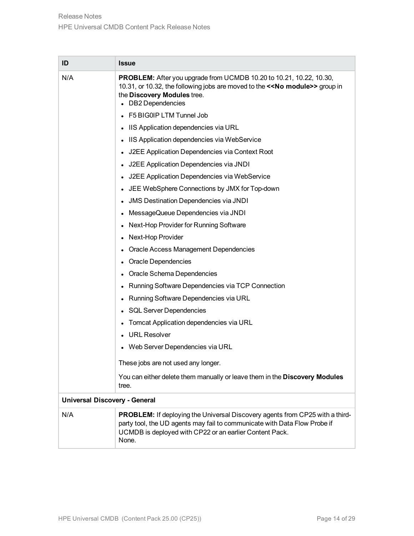| ID                                   | <b>Issue</b>                                                                                                                                                                                                                         |  |  |
|--------------------------------------|--------------------------------------------------------------------------------------------------------------------------------------------------------------------------------------------------------------------------------------|--|--|
| N/A                                  | <b>PROBLEM:</b> After you upgrade from UCMDB 10.20 to 10.21, 10.22, 10.30,<br>10.31, or 10.32, the following jobs are moved to the < <no module="">&gt; group in<br/>the Discovery Modules tree.<br/>• DB2 Dependencies</no>         |  |  |
|                                      | • F5 BIG0IP LTM Tunnel Job                                                                                                                                                                                                           |  |  |
|                                      | • IIS Application dependencies via URL                                                                                                                                                                                               |  |  |
|                                      | • IIS Application dependencies via WebService                                                                                                                                                                                        |  |  |
|                                      | J2EE Application Dependencies via Context Root                                                                                                                                                                                       |  |  |
|                                      | J2EE Application Dependencies via JNDI                                                                                                                                                                                               |  |  |
|                                      | J2EE Application Dependencies via WebService                                                                                                                                                                                         |  |  |
|                                      | JEE WebSphere Connections by JMX for Top-down<br>$\bullet$                                                                                                                                                                           |  |  |
|                                      | <b>JMS Destination Dependencies via JNDI</b>                                                                                                                                                                                         |  |  |
|                                      | MessageQueue Dependencies via JNDI<br>٠                                                                                                                                                                                              |  |  |
|                                      | Next-Hop Provider for Running Software                                                                                                                                                                                               |  |  |
|                                      | Next-Hop Provider<br>$\bullet$                                                                                                                                                                                                       |  |  |
|                                      | <b>Oracle Access Management Dependencies</b>                                                                                                                                                                                         |  |  |
|                                      | Oracle Dependencies<br>٠                                                                                                                                                                                                             |  |  |
|                                      | Oracle Schema Dependencies                                                                                                                                                                                                           |  |  |
|                                      | Running Software Dependencies via TCP Connection                                                                                                                                                                                     |  |  |
|                                      | Running Software Dependencies via URL                                                                                                                                                                                                |  |  |
|                                      | <b>SQL Server Dependencies</b><br>$\bullet$                                                                                                                                                                                          |  |  |
|                                      | Tomcat Application dependencies via URL                                                                                                                                                                                              |  |  |
|                                      | <b>URL Resolver</b>                                                                                                                                                                                                                  |  |  |
|                                      | Web Server Dependencies via URL                                                                                                                                                                                                      |  |  |
|                                      | These jobs are not used any longer.                                                                                                                                                                                                  |  |  |
|                                      | You can either delete them manually or leave them in the Discovery Modules<br>tree.                                                                                                                                                  |  |  |
| <b>Universal Discovery - General</b> |                                                                                                                                                                                                                                      |  |  |
| N/A                                  | <b>PROBLEM:</b> If deploying the Universal Discovery agents from CP25 with a third-<br>party tool, the UD agents may fail to communicate with Data Flow Probe if<br>UCMDB is deployed with CP22 or an earlier Content Pack.<br>None. |  |  |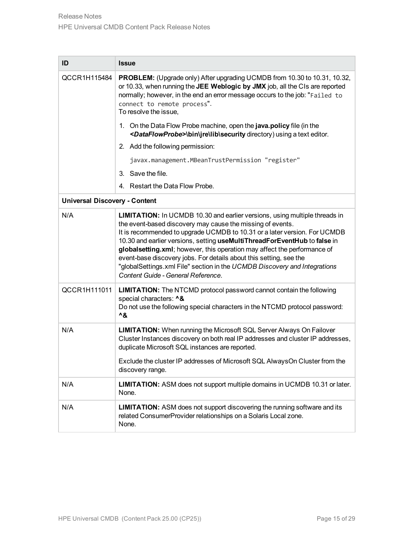| ID                                   | <b>Issue</b>                                                                                                                                                                                                                                                                                                                                                                                                                                                                                                                                                                   |  |  |
|--------------------------------------|--------------------------------------------------------------------------------------------------------------------------------------------------------------------------------------------------------------------------------------------------------------------------------------------------------------------------------------------------------------------------------------------------------------------------------------------------------------------------------------------------------------------------------------------------------------------------------|--|--|
| QCCR1H115484                         | <b>PROBLEM:</b> (Upgrade only) After upgrading UCMDB from 10.30 to 10.31, 10.32,<br>or 10.33, when running the JEE Weblogic by JMX job, all the CIs are reported<br>normally; however, in the end an error message occurs to the job: "Failed to<br>connect to remote process".<br>To resolve the issue,                                                                                                                                                                                                                                                                       |  |  |
|                                      | 1. On the Data Flow Probe machine, open the java.policy file (in the<br><dataflowprobe>\bin\jre\lib\security directory) using a text editor.</dataflowprobe>                                                                                                                                                                                                                                                                                                                                                                                                                   |  |  |
|                                      | 2. Add the following permission:                                                                                                                                                                                                                                                                                                                                                                                                                                                                                                                                               |  |  |
|                                      | javax.management.MBeanTrustPermission "register"                                                                                                                                                                                                                                                                                                                                                                                                                                                                                                                               |  |  |
|                                      | 3. Save the file.                                                                                                                                                                                                                                                                                                                                                                                                                                                                                                                                                              |  |  |
|                                      | 4. Restart the Data Flow Probe.                                                                                                                                                                                                                                                                                                                                                                                                                                                                                                                                                |  |  |
| <b>Universal Discovery - Content</b> |                                                                                                                                                                                                                                                                                                                                                                                                                                                                                                                                                                                |  |  |
| N/A                                  | <b>LIMITATION:</b> In UCMDB 10.30 and earlier versions, using multiple threads in<br>the event-based discovery may cause the missing of events.<br>It is recommended to upgrade UCMDB to 10.31 or a later version. For UCMDB<br>10.30 and earlier versions, setting useMultiThreadForEventHub to false in<br>globalsetting.xml; however, this operation may affect the performance of<br>event-base discovery jobs. For details about this setting, see the<br>"globalSettings.xml File" section in the UCMDB Discovery and Integrations<br>Content Guide - General Reference. |  |  |
| QCCR1H111011                         | <b>LIMITATION:</b> The NTCMD protocol password cannot contain the following<br>special characters: ^&<br>Do not use the following special characters in the NTCMD protocol password:<br>^&                                                                                                                                                                                                                                                                                                                                                                                     |  |  |
| N/A                                  | <b>LIMITATION:</b> When running the Microsoft SQL Server Always On Failover<br>Cluster Instances discovery on both real IP addresses and cluster IP addresses,<br>duplicate Microsoft SQL instances are reported.                                                                                                                                                                                                                                                                                                                                                              |  |  |
|                                      | Exclude the cluster IP addresses of Microsoft SQL AlwaysOn Cluster from the<br>discovery range.                                                                                                                                                                                                                                                                                                                                                                                                                                                                                |  |  |
| N/A                                  | LIMITATION: ASM does not support multiple domains in UCMDB 10.31 or later.<br>None.                                                                                                                                                                                                                                                                                                                                                                                                                                                                                            |  |  |
| N/A                                  | <b>LIMITATION:</b> ASM does not support discovering the running software and its<br>related ConsumerProvider relationships on a Solaris Local zone.<br>None.                                                                                                                                                                                                                                                                                                                                                                                                                   |  |  |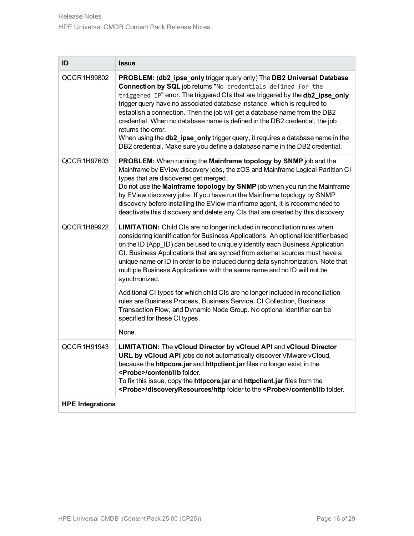| ID                      | <b>Issue</b>                                                                                                                                                                                                                                                                                                                                                                                                                                                                                                                                                                                                                                                     |  |
|-------------------------|------------------------------------------------------------------------------------------------------------------------------------------------------------------------------------------------------------------------------------------------------------------------------------------------------------------------------------------------------------------------------------------------------------------------------------------------------------------------------------------------------------------------------------------------------------------------------------------------------------------------------------------------------------------|--|
| QCCR1H99802             | PROBLEM: (db2_ipse_only trigger query only) The DB2 Universal Database<br>Connection by SQL job returns "No credentials defined for the<br>triggered IP" error. The triggered CIs that are triggered by the db2_ipse_only<br>trigger query have no associated database instance, which is required to<br>establish a connection. Then the job will get a database name from the DB2<br>credential. When no database name is defined in the DB2 credential, the job<br>returns the error.<br>When using the <b>db2_ipse_only</b> trigger query, it requires a database name in the<br>DB2 credential. Make sure you define a database name in the DB2 credential. |  |
| QCCR1H97603             | PROBLEM: When running the Mainframe topology by SNMP job and the<br>Mainframe by EView discovery jobs, the zOS and Mainframe Logical Partition CI<br>types that are discovered get merged.<br>Do not use the Mainframe topology by SNMP job when you run the Mainframe<br>by EView discovery jobs. If you have run the Mainframe topology by SNMP<br>discovery before installing the EView mainframe agent, it is recommended to<br>deactivate this discovery and delete any CIs that are created by this discovery.                                                                                                                                             |  |
| QCCR1H89922             | <b>LIMITATION:</b> Child CIs are no longer included in reconciliation rules when<br>considering identification for Business Applications. An optional identifier based<br>on the ID (App_ID) can be used to uniquely identify each Business Application<br>CI. Business Applications that are synced from external sources must have a<br>unique name or ID in order to be included during data synchronization. Note that<br>multiple Business Applications with the same name and no ID will not be<br>synchronized.                                                                                                                                           |  |
|                         | Additional CI types for which child CIs are no longer included in reconciliation<br>rules are Business Process, Business Service, CI Collection, Business<br>Transaction Flow, and Dynamic Node Group. No optional identifier can be<br>specified for these CI types.<br>None.                                                                                                                                                                                                                                                                                                                                                                                   |  |
| QCCR1H91943             | LIMITATION: The vCloud Director by vCloud API and vCloud Director<br>URL by vCloud API jobs do not automatically discover VMware vCloud,<br>because the httpcore.jar and httpclient.jar files no longer exist in the<br><probe>/content/lib folder.<br/>To fix this issue, copy the httpcore.jar and httpclient.jar files from the<br/><probe>/discoveryResources/http folder to the <probe>/content/lib folder.</probe></probe></probe>                                                                                                                                                                                                                         |  |
| <b>HPE Integrations</b> |                                                                                                                                                                                                                                                                                                                                                                                                                                                                                                                                                                                                                                                                  |  |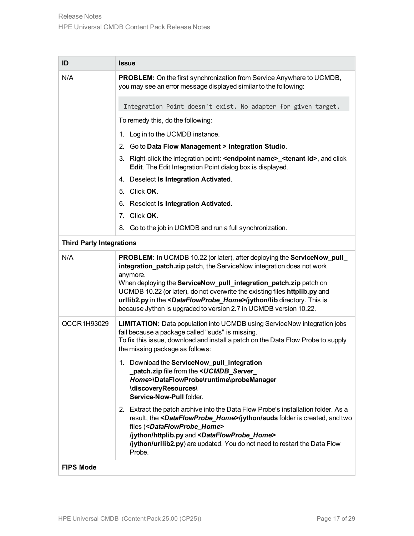| ID                              | <b>Issue</b>                                                                                                                                                                                                                                                                                                                                                                                                                                                                               |  |  |
|---------------------------------|--------------------------------------------------------------------------------------------------------------------------------------------------------------------------------------------------------------------------------------------------------------------------------------------------------------------------------------------------------------------------------------------------------------------------------------------------------------------------------------------|--|--|
| N/A                             | <b>PROBLEM:</b> On the first synchronization from Service Anywhere to UCMDB,<br>you may see an error message displayed similar to the following:                                                                                                                                                                                                                                                                                                                                           |  |  |
|                                 | Integration Point doesn't exist. No adapter for given target.                                                                                                                                                                                                                                                                                                                                                                                                                              |  |  |
|                                 | To remedy this, do the following:                                                                                                                                                                                                                                                                                                                                                                                                                                                          |  |  |
|                                 | 1. Log in to the UCMDB instance.                                                                                                                                                                                                                                                                                                                                                                                                                                                           |  |  |
|                                 | 2. Go to Data Flow Management > Integration Studio.                                                                                                                                                                                                                                                                                                                                                                                                                                        |  |  |
|                                 | 3. Right-click the integration point: <endpoint name="">_<tenant id="">, and click<br/>Edit. The Edit Integration Point dialog box is displayed.</tenant></endpoint>                                                                                                                                                                                                                                                                                                                       |  |  |
|                                 | 4. Deselect Is Integration Activated.                                                                                                                                                                                                                                                                                                                                                                                                                                                      |  |  |
|                                 | 5. Click OK.                                                                                                                                                                                                                                                                                                                                                                                                                                                                               |  |  |
|                                 | 6. Reselect Is Integration Activated.                                                                                                                                                                                                                                                                                                                                                                                                                                                      |  |  |
|                                 | 7. Click OK.                                                                                                                                                                                                                                                                                                                                                                                                                                                                               |  |  |
|                                 | 8. Go to the job in UCMDB and run a full synchronization.                                                                                                                                                                                                                                                                                                                                                                                                                                  |  |  |
| <b>Third Party Integrations</b> |                                                                                                                                                                                                                                                                                                                                                                                                                                                                                            |  |  |
| N/A                             | <b>PROBLEM:</b> In UCMDB 10.22 (or later), after deploying the ServiceNow_pull_<br>integration_patch.zip patch, the ServiceNow integration does not work<br>anymore.<br>When deploying the ServiceNow_pull_integration_patch.zip patch on<br>UCMDB 10.22 (or later), do not overwrite the existing files httplib.py and<br>urllib2.py in the <dataflowprobe_home>/jython/lib directory. This is<br/>because Jython is upgraded to version 2.7 in UCMDB version 10.22.</dataflowprobe_home> |  |  |
| QCCR1H93029                     | <b>LIMITATION:</b> Data population into UCMDB using ServiceNow integration jobs<br>fail because a package called "suds" is missing.<br>To fix this issue, download and install a patch on the Data Flow Probe to supply<br>the missing package as follows:                                                                                                                                                                                                                                 |  |  |
|                                 | 1. Download the ServiceNow_pull_integration<br>patch.zip file from the <ucmdb_server<br>Home&gt;\DataFlowProbe\runtime\probeManager<br/>\discoveryResources\<br/>Service-Now-Pull folder.</ucmdb_server<br>                                                                                                                                                                                                                                                                                |  |  |
|                                 | 2. Extract the patch archive into the Data Flow Probe's installation folder. As a<br>result, the <dataflowprobe_home>/jython/suds folder is created, and two<br/>files (<dataflowprobe_home><br/>/jython/httplib.py and <dataflowprobe_home><br/>/jython/urllib2.py) are updated. You do not need to restart the Data Flow<br/>Probe.</dataflowprobe_home></dataflowprobe_home></dataflowprobe_home>                                                                                       |  |  |
| <b>FIPS Mode</b>                |                                                                                                                                                                                                                                                                                                                                                                                                                                                                                            |  |  |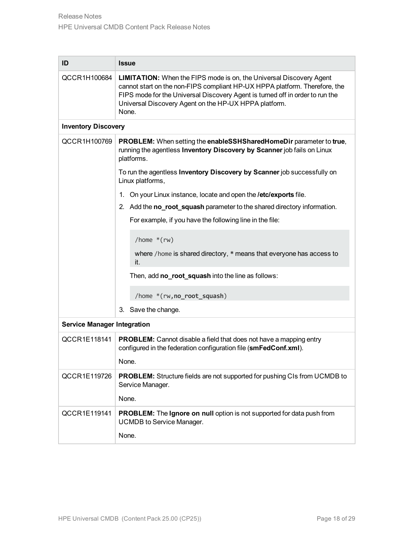| ID                                 | <b>Issue</b>                                                                                                                                                                                                                                                                                                |  |  |
|------------------------------------|-------------------------------------------------------------------------------------------------------------------------------------------------------------------------------------------------------------------------------------------------------------------------------------------------------------|--|--|
| QCCR1H100684                       | <b>LIMITATION:</b> When the FIPS mode is on, the Universal Discovery Agent<br>cannot start on the non-FIPS compliant HP-UX HPPA platform. Therefore, the<br>FIPS mode for the Universal Discovery Agent is turned off in order to run the<br>Universal Discovery Agent on the HP-UX HPPA platform.<br>None. |  |  |
| <b>Inventory Discovery</b>         |                                                                                                                                                                                                                                                                                                             |  |  |
| QCCR1H100769                       | PROBLEM: When setting the enableSSHSharedHomeDir parameter to true,<br>running the agentless Inventory Discovery by Scanner job fails on Linux<br>platforms.                                                                                                                                                |  |  |
|                                    | To run the agentless Inventory Discovery by Scanner job successfully on<br>Linux platforms,                                                                                                                                                                                                                 |  |  |
|                                    | 1. On your Linux instance, locate and open the <b>/etc/exports</b> file.                                                                                                                                                                                                                                    |  |  |
|                                    | 2. Add the <b>no_root_squash</b> parameter to the shared directory information.                                                                                                                                                                                                                             |  |  |
|                                    | For example, if you have the following line in the file:                                                                                                                                                                                                                                                    |  |  |
|                                    | /home $*(rw)$                                                                                                                                                                                                                                                                                               |  |  |
|                                    | where /home is shared directory, * means that everyone has access to<br>it.                                                                                                                                                                                                                                 |  |  |
|                                    | Then, add no_root_squash into the line as follows:                                                                                                                                                                                                                                                          |  |  |
|                                    | /home *(rw, no_root_squash)                                                                                                                                                                                                                                                                                 |  |  |
|                                    | 3. Save the change.                                                                                                                                                                                                                                                                                         |  |  |
| <b>Service Manager Integration</b> |                                                                                                                                                                                                                                                                                                             |  |  |
| QCCR1E118141                       | PROBLEM: Cannot disable a field that does not have a mapping entry<br>configured in the federation configuration file (smFedConf.xml).                                                                                                                                                                      |  |  |
|                                    | None.                                                                                                                                                                                                                                                                                                       |  |  |
| QCCR1E119726                       | <b>PROBLEM:</b> Structure fields are not supported for pushing CIs from UCMDB to<br>Service Manager.                                                                                                                                                                                                        |  |  |
|                                    | None.                                                                                                                                                                                                                                                                                                       |  |  |
| QCCR1E119141                       | <b>PROBLEM:</b> The Ignore on null option is not supported for data push from<br><b>UCMDB</b> to Service Manager.                                                                                                                                                                                           |  |  |
|                                    | None.                                                                                                                                                                                                                                                                                                       |  |  |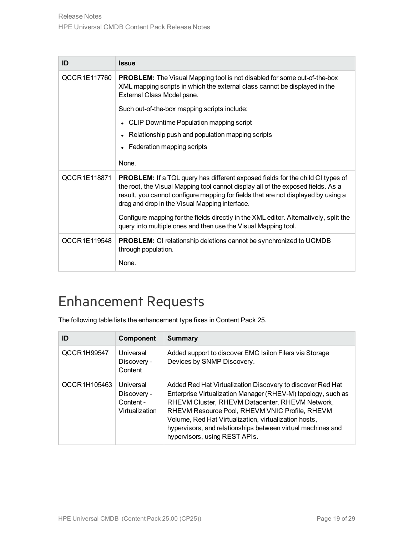| ID           | <b>Issue</b>                                                                                                                                                                                                                                                                                                     |
|--------------|------------------------------------------------------------------------------------------------------------------------------------------------------------------------------------------------------------------------------------------------------------------------------------------------------------------|
| QCCR1E117760 | <b>PROBLEM:</b> The Visual Mapping tool is not disabled for some out-of-the-box<br>XML mapping scripts in which the external class cannot be displayed in the<br>External Class Model pane.                                                                                                                      |
|              | Such out-of-the-box mapping scripts include:                                                                                                                                                                                                                                                                     |
|              | • CLIP Downtime Population mapping script                                                                                                                                                                                                                                                                        |
|              | Relationship push and population mapping scripts                                                                                                                                                                                                                                                                 |
|              | Federation mapping scripts                                                                                                                                                                                                                                                                                       |
|              | None.                                                                                                                                                                                                                                                                                                            |
| QCCR1E118871 | <b>PROBLEM:</b> If a TQL query has different exposed fields for the child CI types of<br>the root, the Visual Mapping tool cannot display all of the exposed fields. As a<br>result, you cannot configure mapping for fields that are not displayed by using a<br>drag and drop in the Visual Mapping interface. |
|              | Configure mapping for the fields directly in the XML editor. Alternatively, split the<br>query into multiple ones and then use the Visual Mapping tool.                                                                                                                                                          |
| QCCR1E119548 | <b>PROBLEM:</b> CI relationship deletions cannot be synchronized to UCMDB<br>through population.                                                                                                                                                                                                                 |
|              | None.                                                                                                                                                                                                                                                                                                            |

### <span id="page-18-0"></span>Enhancement Requests

The following table lists the enhancement type fixes in Content Pack 25.

| ID           | Component                                               | <b>Summary</b>                                                                                                                                                                                                                                                                                                                                                                           |
|--------------|---------------------------------------------------------|------------------------------------------------------------------------------------------------------------------------------------------------------------------------------------------------------------------------------------------------------------------------------------------------------------------------------------------------------------------------------------------|
| QCCR1H99547  | Universal<br>Discovery -<br>Content                     | Added support to discover EMC Isilon Filers via Storage<br>Devices by SNMP Discovery.                                                                                                                                                                                                                                                                                                    |
| QCCR1H105463 | Universal<br>Discovery -<br>Content -<br>Virtualization | Added Red Hat Virtualization Discovery to discover Red Hat<br>Enterprise Virtualization Manager (RHEV-M) topology, such as<br>RHEVM Cluster, RHEVM Datacenter, RHEVM Network,<br>RHEVM Resource Pool, RHEVM VNIC Profile, RHEVM<br>Volume, Red Hat Virtualization, virtualization hosts,<br>hypervisors, and relationships between virtual machines and<br>hypervisors, using REST APIs. |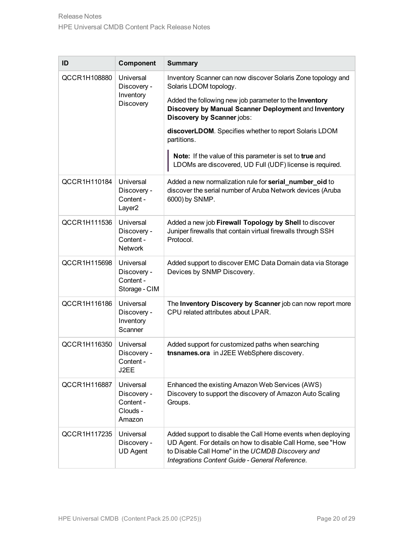| ID           | Component                                                   | <b>Summary</b>                                                                                                                                                                                                                     |
|--------------|-------------------------------------------------------------|------------------------------------------------------------------------------------------------------------------------------------------------------------------------------------------------------------------------------------|
| QCCR1H108880 | Universal<br>Discovery -<br>Inventory<br>Discovery          | Inventory Scanner can now discover Solaris Zone topology and<br>Solaris LDOM topology.                                                                                                                                             |
|              |                                                             | Added the following new job parameter to the Inventory<br>Discovery by Manual Scanner Deployment and Inventory<br>Discovery by Scanner jobs:                                                                                       |
|              |                                                             | discoverLDOM. Specifies whether to report Solaris LDOM<br>partitions.                                                                                                                                                              |
|              |                                                             | Note: If the value of this parameter is set to true and<br>LDOMs are discovered, UD Full (UDF) license is required.                                                                                                                |
| QCCR1H110184 | Universal<br>Discovery -<br>Content -<br>Layer <sub>2</sub> | Added a new normalization rule for serial_number_oid to<br>discover the serial number of Aruba Network devices (Aruba<br>6000) by SNMP.                                                                                            |
| QCCR1H111536 | Universal<br>Discovery -<br>Content -<br><b>Network</b>     | Added a new job Firewall Topology by Shell to discover<br>Juniper firewalls that contain virtual firewalls through SSH<br>Protocol.                                                                                                |
| QCCR1H115698 | Universal<br>Discovery -<br>Content -<br>Storage - CIM      | Added support to discover EMC Data Domain data via Storage<br>Devices by SNMP Discovery.                                                                                                                                           |
| QCCR1H116186 | Universal<br>Discovery -<br>Inventory<br>Scanner            | The Inventory Discovery by Scanner job can now report more<br>CPU related attributes about LPAR.                                                                                                                                   |
| QCCR1H116350 | Universal<br>Discovery -<br>Content -<br>J2EE               | Added support for customized paths when searching<br>tnsnames.ora in J2EE WebSphere discovery.                                                                                                                                     |
| QCCR1H116887 | Universal<br>Discovery -<br>Content -<br>Clouds -<br>Amazon | Enhanced the existing Amazon Web Services (AWS)<br>Discovery to support the discovery of Amazon Auto Scaling<br>Groups.                                                                                                            |
| QCCR1H117235 | Universal<br>Discovery -<br><b>UD Agent</b>                 | Added support to disable the Call Home events when deploying<br>UD Agent. For details on how to disable Call Home, see "How<br>to Disable Call Home" in the UCMDB Discovery and<br>Integrations Content Guide - General Reference. |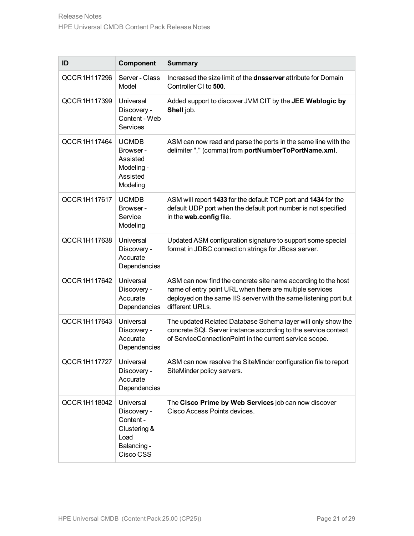| ID           | Component                                                                                 | <b>Summary</b>                                                                                                                                                                                                   |
|--------------|-------------------------------------------------------------------------------------------|------------------------------------------------------------------------------------------------------------------------------------------------------------------------------------------------------------------|
| QCCR1H117296 | Server - Class<br>Model                                                                   | Increased the size limit of the <b>dnsserver</b> attribute for Domain<br>Controller CI to 500.                                                                                                                   |
| QCCR1H117399 | Universal<br>Discovery -<br>Content - Web<br>Services                                     | Added support to discover JVM CIT by the JEE Weblogic by<br>Shell job.                                                                                                                                           |
| QCCR1H117464 | <b>UCMDB</b><br>Browser -<br>Assisted<br>Modeling -<br>Assisted<br>Modeling               | ASM can now read and parse the ports in the same line with the<br>delimiter"," (comma) from portNumberToPortName.xml.                                                                                            |
| QCCR1H117617 | <b>UCMDB</b><br>Browser -<br>Service<br>Modeling                                          | ASM will report 1433 for the default TCP port and 1434 for the<br>default UDP port when the default port number is not specified<br>in the web.config file.                                                      |
| QCCR1H117638 | Universal<br>Discovery -<br>Accurate<br>Dependencies                                      | Updated ASM configuration signature to support some special<br>format in JDBC connection strings for JBoss server.                                                                                               |
| QCCR1H117642 | Universal<br>Discovery -<br>Accurate<br>Dependencies                                      | ASM can now find the concrete site name according to the host<br>name of entry point URL when there are multiple services<br>deployed on the same IIS server with the same listening port but<br>different URLs. |
| QCCR1H117643 | Universal<br>Discovery -<br>Accurate<br>Dependencies                                      | The updated Related Database Schema layer will only show the<br>concrete SQL Server instance according to the service context<br>of ServiceConnectionPoint in the current service scope.                         |
| QCCR1H117727 | Universal<br>Discovery -<br>Accurate<br>Dependencies                                      | ASM can now resolve the SiteMinder configuration file to report<br>SiteMinder policy servers.                                                                                                                    |
| QCCR1H118042 | Universal<br>Discovery -<br>Content -<br>Clustering &<br>Load<br>Balancing -<br>Cisco CSS | The Cisco Prime by Web Services job can now discover<br>Cisco Access Points devices.                                                                                                                             |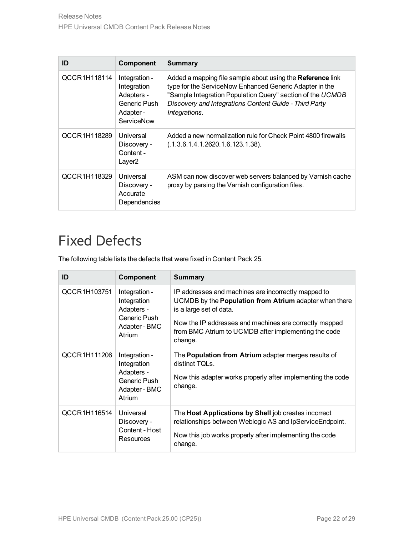| ID           | Component                                                                             | Summary                                                                                                                                                                                                                                                        |
|--------------|---------------------------------------------------------------------------------------|----------------------------------------------------------------------------------------------------------------------------------------------------------------------------------------------------------------------------------------------------------------|
| QCCR1H118114 | Integration -<br>Integration<br>Adapters -<br>Generic Push<br>Adapter -<br>ServiceNow | Added a mapping file sample about using the Reference link<br>type for the ServiceNow Enhanced Generic Adapter in the<br>"Sample Integration Population Query" section of the UCMDB<br>Discovery and Integrations Content Guide - Third Party<br>Integrations. |
| QCCR1H118289 | Universal<br>Discovery -<br>Content -<br>Laver <sub>2</sub>                           | Added a new normalization rule for Check Point 4800 firewalls<br>(.1.3.6.1.4.1.2620.1.6.123.1.38).                                                                                                                                                             |
| QCCR1H118329 | Universal<br>Discovery -<br>Accurate<br>Dependencies                                  | ASM can now discover web servers balanced by Varnish cache<br>proxy by parsing the Varnish configuration files.                                                                                                                                                |

### <span id="page-21-0"></span>Fixed Defects

The following table lists the defects that were fixed in Content Pack 25.

| ID           | <b>Component</b>                                                                      | <b>Summary</b>                                                                                                                                                                                                                                                               |
|--------------|---------------------------------------------------------------------------------------|------------------------------------------------------------------------------------------------------------------------------------------------------------------------------------------------------------------------------------------------------------------------------|
| QCCR1H103751 | Integration -<br>Integration<br>Adapters -<br>Generic Push<br>Adapter - BMC<br>Atrium | IP addresses and machines are incorrectly mapped to<br>UCMDB by the <b>Population from Atrium</b> adapter when there<br>is a large set of data.<br>Now the IP addresses and machines are correctly mapped<br>from BMC Atrium to UCMDB after implementing the code<br>change. |
| QCCR1H111206 | Integration -<br>Integration<br>Adapters -<br>Generic Push<br>Adapter - BMC<br>Atrium | The <b>Population from Atrium</b> adapter merges results of<br>distinct TOLs.<br>Now this adapter works properly after implementing the code<br>change.                                                                                                                      |
| QCCR1H116514 | Universal<br>Discovery -<br>Content - Host<br>Resources                               | The Host Applications by Shell job creates incorrect<br>relationships between Weblogic AS and IpService Endpoint.<br>Now this job works properly after implementing the code<br>change.                                                                                      |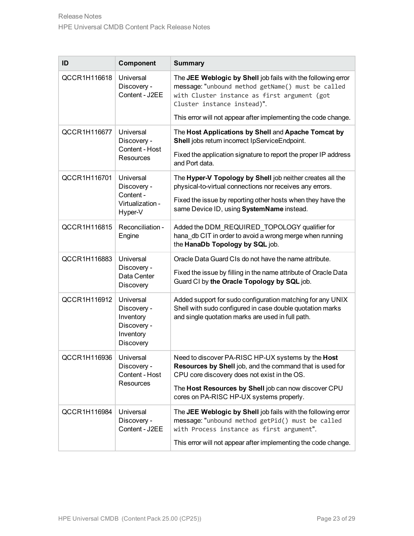| ID           | Component                                                                      | <b>Summary</b>                                                                                                                                                                                   |
|--------------|--------------------------------------------------------------------------------|--------------------------------------------------------------------------------------------------------------------------------------------------------------------------------------------------|
| QCCR1H116618 | Universal<br>Discovery -<br>Content - J2EE                                     | The JEE Weblogic by Shell job fails with the following error<br>message: "unbound method getName() must be called<br>with Cluster instance as first argument (got<br>Cluster instance instead)". |
|              |                                                                                | This error will not appear after implementing the code change.                                                                                                                                   |
| QCCR1H116677 | Universal<br>Discovery -<br>Content - Host                                     | The Host Applications by Shell and Apache Tomcat by<br>Shell jobs return incorrect IpServiceEndpoint.                                                                                            |
|              | <b>Resources</b>                                                               | Fixed the application signature to report the proper IP address<br>and Port data.                                                                                                                |
| QCCR1H116701 | Universal<br>Discovery -<br>Content -<br>Virtualization -<br>Hyper-V           | The Hyper-V Topology by Shell job neither creates all the<br>physical-to-virtual connections nor receives any errors.                                                                            |
|              |                                                                                | Fixed the issue by reporting other hosts when they have the<br>same Device ID, using SystemName instead.                                                                                         |
| QCCR1H116815 | Reconciliation -<br>Engine                                                     | Added the DDM_REQUIRED_TOPOLOGY qualifier for<br>hana db CIT in order to avoid a wrong merge when running<br>the HanaDb Topology by SQL job.                                                     |
| QCCR1H116883 | Universal<br>Discovery -                                                       | Oracle Data Guard CIs do not have the name attribute.                                                                                                                                            |
|              | Data Center<br>Discovery                                                       | Fixed the issue by filling in the name attribute of Oracle Data<br>Guard CI by the Oracle Topology by SQL job.                                                                                   |
| QCCR1H116912 | Universal<br>Discovery -<br>Inventory<br>Discovery -<br>Inventory<br>Discovery | Added support for sudo configuration matching for any UNIX<br>Shell with sudo configured in case double quotation marks<br>and single quotation marks are used in full path.                     |
| QCCR1H116936 | Universal<br>Discovery -<br>Content - Host<br>Resources                        | Need to discover PA-RISC HP-UX systems by the Host<br>Resources by Shell job, and the command that is used for<br>CPU core discovery does not exist in the OS.                                   |
|              |                                                                                | The Host Resources by Shell job can now discover CPU<br>cores on PA-RISC HP-UX systems properly.                                                                                                 |
| QCCR1H116984 | Universal<br>Discovery -<br>Content - J2EE                                     | The JEE Weblogic by Shell job fails with the following error<br>message: "unbound method getPid() must be called<br>with Process instance as first argument".                                    |
|              |                                                                                | This error will not appear after implementing the code change.                                                                                                                                   |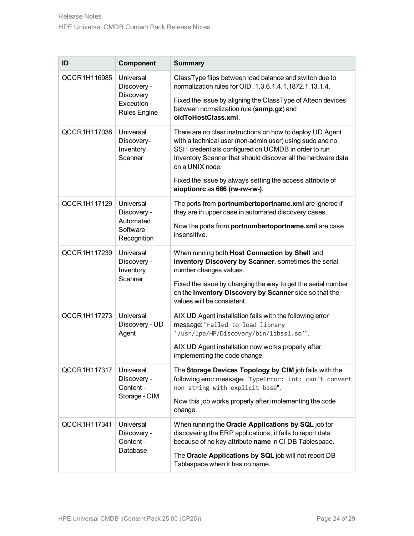| ID           | Component                                                                   | <b>Summary</b>                                                                                                                                                                                                                                                  |
|--------------|-----------------------------------------------------------------------------|-----------------------------------------------------------------------------------------------------------------------------------------------------------------------------------------------------------------------------------------------------------------|
| QCCR1H116985 | Universal<br>Discovery -<br>Discovery<br>Exceution -<br><b>Rules Engine</b> | ClassType flips between load balance and switch due to<br>normalization rules for OID .1.3.6.1.4.1.1872.1.13.1.4.                                                                                                                                               |
|              |                                                                             | Fixed the issue by aligning the ClassType of Alteon devices<br>between normalization rule (snmp.gz) and<br>oidToHostClass.xml.                                                                                                                                  |
| QCCR1H117038 | Universal<br>Discovery-<br>Inventory<br>Scanner                             | There are no clear instructions on how to deploy UD Agent<br>with a technical user (non-admin user) using sudo and no<br>SSH credentials configured on UCMDB in order to run<br>Inventory Scanner that should discover all the hardware data<br>on a UNIX node. |
|              |                                                                             | Fixed the issue by always setting the access attribute of<br>aioptionrc as 666 (rw-rw-rw-).                                                                                                                                                                     |
| QCCR1H117129 | Universal<br>Discovery -<br>Automated<br>Software<br>Recognition            | The ports from portnumbertoportname.xml are ignored if<br>they are in upper case in automated discovery cases.                                                                                                                                                  |
|              |                                                                             | Now the ports from portnumbertoportname.xml are case<br>insensitive.                                                                                                                                                                                            |
| QCCR1H117239 | Universal<br>Discovery -<br>Inventory<br>Scanner                            | When running both Host Connection by Shell and<br>Inventory Discovery by Scanner, sometimes the serial<br>number changes values.                                                                                                                                |
|              |                                                                             | Fixed the issue by changing the way to get the serial number<br>on the Inventory Discovery by Scanner side so that the<br>values will be consistent.                                                                                                            |
| QCCR1H117273 | Universal<br>Discovery - UD<br>Agent                                        | AIX UD Agent installation fails with the following error<br>message: "Failed to load library<br>"/usr/lpp/HP/Discovery/bin/libssl.so"".                                                                                                                         |
|              |                                                                             | AIX UD Agent installation now works properly after<br>implementing the code change.                                                                                                                                                                             |
| QCCR1H117317 | Universal<br>Discovery -<br>Content -<br>Storage - CIM                      | The Storage Devices Topology by CIM job fails with the<br>following error message: "TypeError: int: can't convert<br>non-string with explicit base".                                                                                                            |
|              |                                                                             | Now this job works properly after implementing the code<br>change.                                                                                                                                                                                              |
| QCCR1H117341 | Universal<br>Discovery -<br>Content -<br>Database                           | When running the Oracle Applications by SQL job for<br>discovering the ERP applications, it fails to report data<br>because of no key attribute name in CI DB Tablespace.                                                                                       |
|              |                                                                             | The Oracle Applications by SQL job will not report DB<br>Tablespace when it has no name.                                                                                                                                                                        |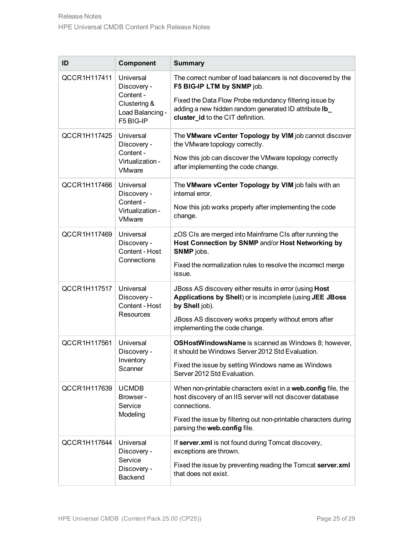| ID           | Component                                                                              | <b>Summary</b>                                                                                                                                        |
|--------------|----------------------------------------------------------------------------------------|-------------------------------------------------------------------------------------------------------------------------------------------------------|
| QCCR1H117411 | Universal<br>Discovery -<br>Content -<br>Clustering &<br>Load Balancing -<br>F5 BIG-IP | The correct number of load balancers is not discovered by the<br>F5 BIG-IP LTM by SNMP job.                                                           |
|              |                                                                                        | Fixed the Data Flow Probe redundancy filtering issue by<br>adding a new hidden random generated ID attribute Ib_<br>cluster_id to the CIT definition. |
| QCCR1H117425 | Universal<br>Discovery -<br>Content -<br>Virtualization -<br><b>VMware</b>             | The VMware vCenter Topology by VIM job cannot discover<br>the VMware topology correctly.                                                              |
|              |                                                                                        | Now this job can discover the VMware topology correctly<br>after implementing the code change.                                                        |
| QCCR1H117466 | Universal<br>Discovery -<br>Content -<br>Virtualization -<br><b>VMware</b>             | The VMware vCenter Topology by VIM job fails with an<br>internal error.                                                                               |
|              |                                                                                        | Now this job works properly after implementing the code<br>change.                                                                                    |
| QCCR1H117469 | Universal<br>Discovery -<br>Content - Host<br>Connections                              | zOS CIs are merged into Mainframe CIs after running the<br>Host Connection by SNMP and/or Host Networking by<br>SNMP jobs.                            |
|              |                                                                                        | Fixed the normalization rules to resolve the incorrect merge<br>issue.                                                                                |
| QCCR1H117517 | Universal<br>Discovery -<br>Content - Host<br>Resources                                | JBoss AS discovery either results in error (using Host<br>Applications by Shell) or is incomplete (using JEE JBoss<br>by Shell job).                  |
|              |                                                                                        | JBoss AS discovery works properly without errors after<br>implementing the code change.                                                               |
| QCCR1H117561 | Universal<br>Discovery -<br>Inventory<br>Scanner                                       | <b>OSHostWindowsName</b> is scanned as Windows 8; however,<br>it should be Windows Server 2012 Std Evaluation.                                        |
|              |                                                                                        | Fixed the issue by setting Windows name as Windows<br>Server 2012 Std Evaluation.                                                                     |
| QCCR1H117639 | <b>UCMDB</b><br>Browser -<br>Service<br>Modeling                                       | When non-printable characters exist in a web.config file, the<br>host discovery of an IIS server will not discover database<br>connections.           |
|              |                                                                                        | Fixed the issue by filtering out non-printable characters during<br>parsing the web.config file.                                                      |
| QCCR1H117644 | Universal<br>Discovery -<br>Service<br>Discovery -<br><b>Backend</b>                   | If server.xml is not found during Tomcat discovery,<br>exceptions are thrown.                                                                         |
|              |                                                                                        | Fixed the issue by preventing reading the Tomcat server.xml<br>that does not exist.                                                                   |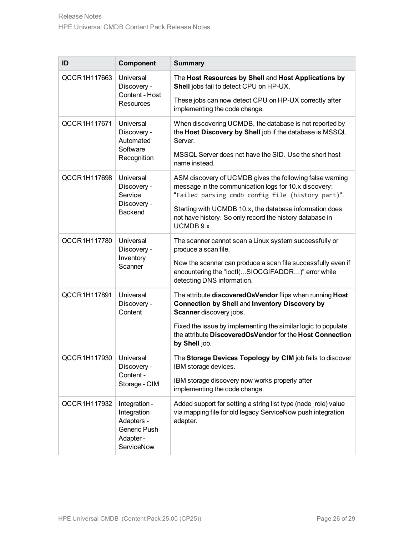| ID                       | Component                                                                             | <b>Summary</b>                                                                                                                                                         |
|--------------------------|---------------------------------------------------------------------------------------|------------------------------------------------------------------------------------------------------------------------------------------------------------------------|
| QCCR1H117663             | Universal<br>Discovery -<br>Content - Host<br>Resources                               | The Host Resources by Shell and Host Applications by<br>Shell jobs fail to detect CPU on HP-UX.                                                                        |
|                          |                                                                                       | These jobs can now detect CPU on HP-UX correctly after<br>implementing the code change.                                                                                |
| QCCR1H117671             | Universal<br>Discovery -<br>Automated<br>Software<br>Recognition                      | When discovering UCMDB, the database is not reported by<br>the Host Discovery by Shell job if the database is MSSQL<br>Server.                                         |
|                          |                                                                                       | MSSQL Server does not have the SID. Use the short host<br>name instead.                                                                                                |
| QCCR1H117698             | Universal<br>Discovery -<br>Service<br>Discovery -<br><b>Backend</b>                  | ASM discovery of UCMDB gives the following false warning<br>message in the communication logs for 10.x discovery:<br>"Failed parsing cmdb config file (history part)". |
|                          |                                                                                       | Starting with UCMDB 10.x, the database information does<br>not have history. So only record the history database in<br>UCMDB 9.x.                                      |
| QCCR1H117780             | Universal<br>Discovery -<br>Inventory<br>Scanner                                      | The scanner cannot scan a Linux system successfully or<br>produce a scan file.                                                                                         |
|                          |                                                                                       | Now the scanner can produce a scan file successfully even if<br>encountering the "ioctl(SIOCGIFADDR)" error while<br>detecting DNS information.                        |
| QCCR1H117891             | Universal<br>Discovery -<br>Content                                                   | The attribute discoveredOsVendor flips when running Host<br>Connection by Shell and Inventory Discovery by<br>Scanner discovery jobs.                                  |
|                          |                                                                                       | Fixed the issue by implementing the similar logic to populate<br>the attribute DiscoveredOsVendor for the Host Connection<br>by Shell job.                             |
| QCCR1H117930   Universal | Discovery -<br>Content -<br>Storage - CIM                                             | The Storage Devices Topology by CIM job fails to discover<br>IBM storage devices.                                                                                      |
|                          |                                                                                       | IBM storage discovery now works properly after<br>implementing the code change.                                                                                        |
| QCCR1H117932             | Integration -<br>Integration<br>Adapters -<br>Generic Push<br>Adapter -<br>ServiceNow | Added support for setting a string list type (node_role) value<br>via mapping file for old legacy ServiceNow push integration<br>adapter.                              |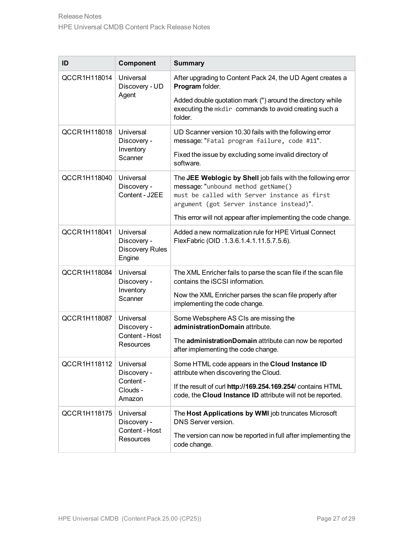| ID           | Component                                                      | <b>Summary</b>                                                                                                                                                                                 |
|--------------|----------------------------------------------------------------|------------------------------------------------------------------------------------------------------------------------------------------------------------------------------------------------|
| QCCR1H118014 | Universal<br>Discovery - UD<br>Agent                           | After upgrading to Content Pack 24, the UD Agent creates a<br>Program folder.                                                                                                                  |
|              |                                                                | Added double quotation mark (") around the directory while<br>executing the mkdir commands to avoid creating such a<br>folder.                                                                 |
| QCCR1H118018 | Universal<br>Discovery -<br>Inventory<br>Scanner               | UD Scanner version 10.30 fails with the following error<br>message: "Fatal program failure, code #11".                                                                                         |
|              |                                                                | Fixed the issue by excluding some invalid directory of<br>software.                                                                                                                            |
| QCCR1H118040 | Universal<br>Discovery -<br>Content - J2EE                     | The JEE Weblogic by Shell job fails with the following error<br>message: "unbound method getName()<br>must be called with Server instance as first<br>argument (got Server instance instead)". |
|              |                                                                | This error will not appear after implementing the code change.                                                                                                                                 |
| QCCR1H118041 | Universal<br>Discovery -<br><b>Discovery Rules</b><br>Engine   | Added a new normalization rule for HPE Virtual Connect<br>FlexFabric (OID .1.3.6.1.4.1.11.5.7.5.6).                                                                                            |
| QCCR1H118084 | Universal<br>Discovery -<br>Inventory<br>Scanner               | The XML Enricher fails to parse the scan file if the scan file<br>contains the iSCSI information.                                                                                              |
|              |                                                                | Now the XML Enricher parses the scan file properly after<br>implementing the code change.                                                                                                      |
| QCCR1H118087 | Universal<br>Discovery -<br>Content - Host<br>Resources        | Some Websphere AS CIs are missing the<br>administrationDomain attribute.                                                                                                                       |
|              |                                                                | The administrationDomain attribute can now be reported<br>after implementing the code change.                                                                                                  |
| QCCR1H118112 | Universal<br>Discovery -<br>Content -<br>Clouds -<br>Amazon    | Some HTML code appears in the Cloud Instance ID<br>attribute when discovering the Cloud.                                                                                                       |
|              |                                                                | If the result of curl http://169.254.169.254/ contains HTML<br>code, the Cloud Instance ID attribute will not be reported.                                                                     |
| QCCR1H118175 | Universal<br>Discovery -<br>Content - Host<br><b>Resources</b> | The Host Applications by WMI job truncates Microsoft<br>DNS Server version.                                                                                                                    |
|              |                                                                | The version can now be reported in full after implementing the<br>code change.                                                                                                                 |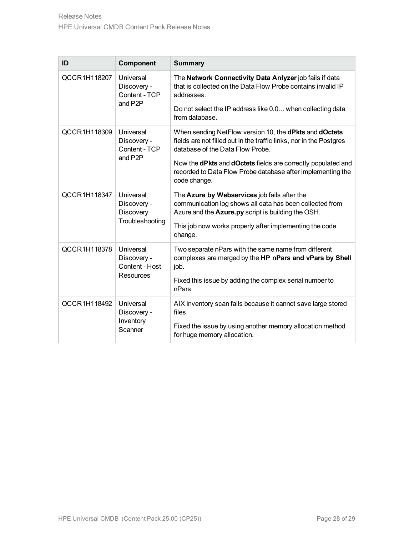| ID           | Component                                                       | <b>Summary</b>                                                                                                                                                                                                                                                                                                                               |
|--------------|-----------------------------------------------------------------|----------------------------------------------------------------------------------------------------------------------------------------------------------------------------------------------------------------------------------------------------------------------------------------------------------------------------------------------|
| QCCR1H118207 | Universal<br>Discovery -<br>Content - TCP<br>and P2P            | The Network Connectivity Data Anlyzer job fails if data<br>that is collected on the Data Flow Probe contains invalid IP<br>addresses.<br>Do not select the IP address like 0.0 when collecting data<br>from database.                                                                                                                        |
| QCCR1H118309 | Universal<br>Discovery -<br>Content - TCP<br>and P2P            | When sending NetFlow version 10, the <b>dPkts</b> and <b>dOctets</b><br>fields are not filled out in the traffic links, nor in the Postgres<br>database of the Data Flow Probe.<br>Now the <b>dPkts</b> and <b>dOctets</b> fields are correctly populated and<br>recorded to Data Flow Probe database after implementing the<br>code change. |
| QCCR1H118347 | Universal<br>Discovery -<br><b>Discovery</b><br>Troubleshooting | The Azure by Webservices job fails after the<br>communication log shows all data has been collected from<br>Azure and the Azure.py script is building the OSH.<br>This job now works properly after implementing the code<br>change.                                                                                                         |
| QCCR1H118378 | Universal<br>Discovery -<br>Content - Host<br>Resources         | Two separate nPars with the same name from different<br>complexes are merged by the HP nPars and vPars by Shell<br>job.<br>Fixed this issue by adding the complex serial number to<br>nPars.                                                                                                                                                 |
| QCCR1H118492 | Universal<br>Discovery -<br>Inventory<br>Scanner                | AIX inventory scan fails because it cannot save large stored<br>files.<br>Fixed the issue by using another memory allocation method<br>for huge memory allocation.                                                                                                                                                                           |